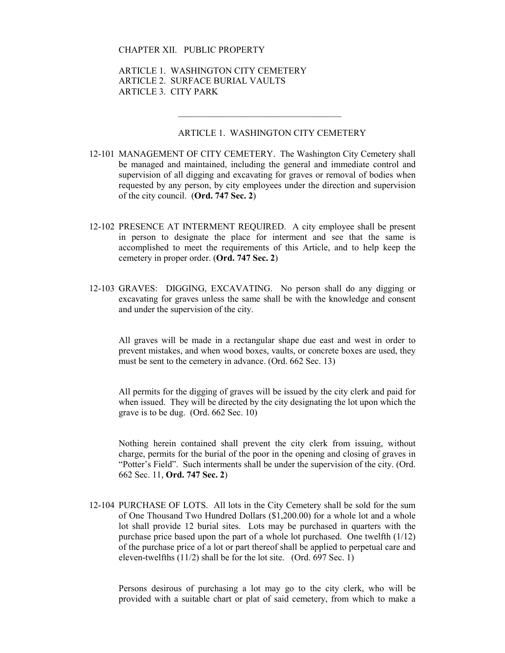#### CHAPTER XII. PUBLIC PROPERTY

 ARTICLE 1. WASHINGTON CITY CEMETERY ARTICLE 2. SURFACE BURIAL VAULTS ARTICLE 3. CITY PARK

 $\mathcal{L}_\text{max}$  and  $\mathcal{L}_\text{max}$  and  $\mathcal{L}_\text{max}$  and  $\mathcal{L}_\text{max}$  and  $\mathcal{L}_\text{max}$ 

#### ARTICLE 1. WASHINGTON CITY CEMETERY

- 12-101 MANAGEMENT OF CITY CEMETERY. The Washington City Cemetery shall be managed and maintained, including the general and immediate control and supervision of all digging and excavating for graves or removal of bodies when requested by any person, by city employees under the direction and supervision of the city council. (**Ord. 747 Sec. 2**)
- 12-102 PRESENCE AT INTERMENT REQUIRED. A city employee shall be present in person to designate the place for interment and see that the same is accomplished to meet the requirements of this Article, and to help keep the cemetery in proper order. (**Ord. 747 Sec. 2**)
- 12-103 GRAVES: DIGGING, EXCAVATING. No person shall do any digging or excavating for graves unless the same shall be with the knowledge and consent and under the supervision of the city.

 All graves will be made in a rectangular shape due east and west in order to prevent mistakes, and when wood boxes, vaults, or concrete boxes are used, they must be sent to the cemetery in advance. (Ord. 662 Sec. 13)

 All permits for the digging of graves will be issued by the city clerk and paid for when issued. They will be directed by the city designating the lot upon which the grave is to be dug. (Ord. 662 Sec. 10)

 Nothing herein contained shall prevent the city clerk from issuing, without charge, permits for the burial of the poor in the opening and closing of graves in "Potter's Field". Such interments shall be under the supervision of the city. (Ord. 662 Sec. 11, **Ord. 747 Sec. 2**)

12-104 PURCHASE OF LOTS. All lots in the City Cemetery shall be sold for the sum of One Thousand Two Hundred Dollars (\$1,200.00) for a whole lot and a whole lot shall provide 12 burial sites. Lots may be purchased in quarters with the purchase price based upon the part of a whole lot purchased. One twelfth (1/12) of the purchase price of a lot or part thereof shall be applied to perpetual care and eleven-twelfths (11/2) shall be for the lot site. (Ord. 697 Sec. 1)

 Persons desirous of purchasing a lot may go to the city clerk, who will be provided with a suitable chart or plat of said cemetery, from which to make a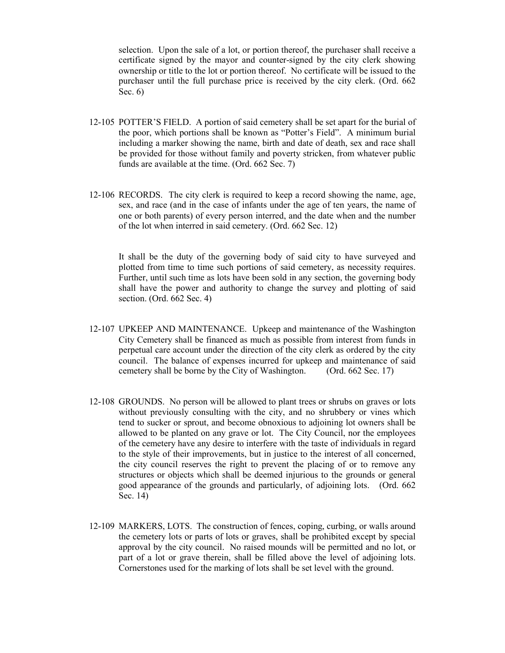selection. Upon the sale of a lot, or portion thereof, the purchaser shall receive a certificate signed by the mayor and counter-signed by the city clerk showing ownership or title to the lot or portion thereof. No certificate will be issued to the purchaser until the full purchase price is received by the city clerk. (Ord. 662 Sec. 6)

- 12-105 POTTER'S FIELD. A portion of said cemetery shall be set apart for the burial of the poor, which portions shall be known as "Potter's Field". A minimum burial including a marker showing the name, birth and date of death, sex and race shall be provided for those without family and poverty stricken, from whatever public funds are available at the time. (Ord. 662 Sec. 7)
- 12-106 RECORDS. The city clerk is required to keep a record showing the name, age, sex, and race (and in the case of infants under the age of ten years, the name of one or both parents) of every person interred, and the date when and the number of the lot when interred in said cemetery. (Ord. 662 Sec. 12)

It shall be the duty of the governing body of said city to have surveyed and plotted from time to time such portions of said cemetery, as necessity requires. Further, until such time as lots have been sold in any section, the governing body shall have the power and authority to change the survey and plotting of said section. (Ord. 662 Sec. 4)

- 12-107 UPKEEP AND MAINTENANCE. Upkeep and maintenance of the Washington City Cemetery shall be financed as much as possible from interest from funds in perpetual care account under the direction of the city clerk as ordered by the city council. The balance of expenses incurred for upkeep and maintenance of said cemetery shall be borne by the City of Washington. (Ord. 662 Sec. 17)
- 12-108 GROUNDS. No person will be allowed to plant trees or shrubs on graves or lots without previously consulting with the city, and no shrubbery or vines which tend to sucker or sprout, and become obnoxious to adjoining lot owners shall be allowed to be planted on any grave or lot. The City Council, nor the employees of the cemetery have any desire to interfere with the taste of individuals in regard to the style of their improvements, but in justice to the interest of all concerned, the city council reserves the right to prevent the placing of or to remove any structures or objects which shall be deemed injurious to the grounds or general good appearance of the grounds and particularly, of adjoining lots. (Ord. 662 Sec. 14)
- 12-109 MARKERS, LOTS. The construction of fences, coping, curbing, or walls around the cemetery lots or parts of lots or graves, shall be prohibited except by special approval by the city council. No raised mounds will be permitted and no lot, or part of a lot or grave therein, shall be filled above the level of adjoining lots. Cornerstones used for the marking of lots shall be set level with the ground.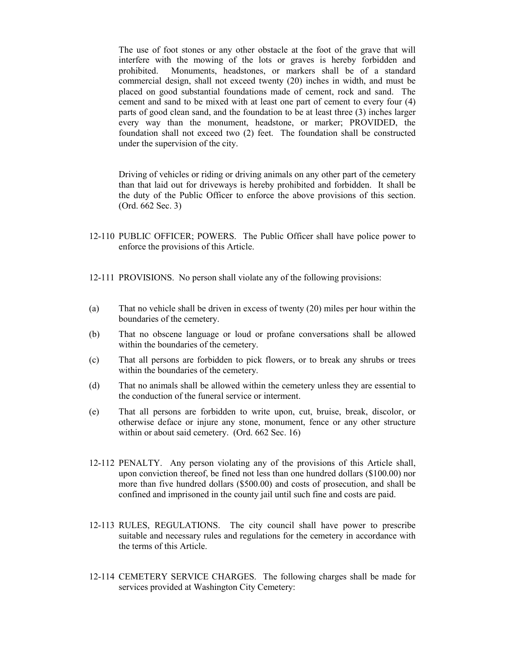The use of foot stones or any other obstacle at the foot of the grave that will interfere with the mowing of the lots or graves is hereby forbidden and prohibited. Monuments, headstones, or markers shall be of a standard commercial design, shall not exceed twenty (20) inches in width, and must be placed on good substantial foundations made of cement, rock and sand. The cement and sand to be mixed with at least one part of cement to every four (4) parts of good clean sand, and the foundation to be at least three (3) inches larger every way than the monument, headstone, or marker; PROVIDED, the foundation shall not exceed two (2) feet. The foundation shall be constructed under the supervision of the city.

Driving of vehicles or riding or driving animals on any other part of the cemetery than that laid out for driveways is hereby prohibited and forbidden. It shall be the duty of the Public Officer to enforce the above provisions of this section. (Ord. 662 Sec. 3)

- 12-110 PUBLIC OFFICER; POWERS. The Public Officer shall have police power to enforce the provisions of this Article.
- 12-111 PROVISIONS. No person shall violate any of the following provisions:
- (a) That no vehicle shall be driven in excess of twenty (20) miles per hour within the boundaries of the cemetery.
- (b) That no obscene language or loud or profane conversations shall be allowed within the boundaries of the cemetery.
- (c) That all persons are forbidden to pick flowers, or to break any shrubs or trees within the boundaries of the cemetery.
- (d) That no animals shall be allowed within the cemetery unless they are essential to the conduction of the funeral service or interment.
- (e) That all persons are forbidden to write upon, cut, bruise, break, discolor, or otherwise deface or injure any stone, monument, fence or any other structure within or about said cemetery. (Ord. 662 Sec. 16)
- 12-112 PENALTY. Any person violating any of the provisions of this Article shall, upon conviction thereof, be fined not less than one hundred dollars (\$100.00) nor more than five hundred dollars (\$500.00) and costs of prosecution, and shall be confined and imprisoned in the county jail until such fine and costs are paid.
- 12-113 RULES, REGULATIONS. The city council shall have power to prescribe suitable and necessary rules and regulations for the cemetery in accordance with the terms of this Article.
- 12-114 CEMETERY SERVICE CHARGES. The following charges shall be made for services provided at Washington City Cemetery: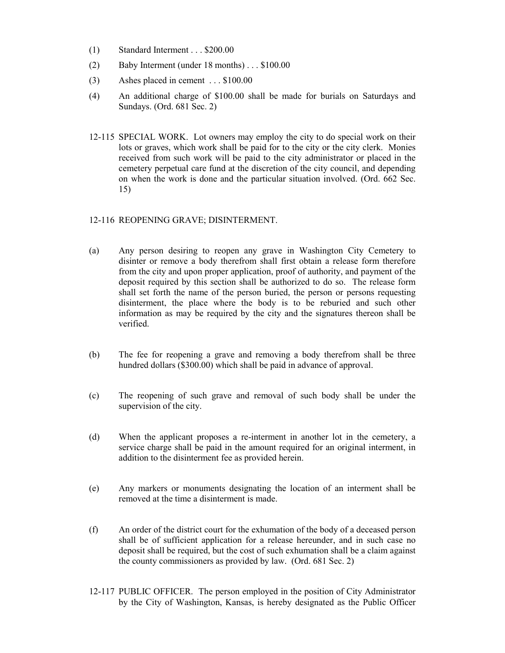- (1) Standard Interment . . . \$200.00
- (2) Baby Interment (under 18 months) . . . \$100.00
- (3) Ashes placed in cement . . . \$100.00
- (4) An additional charge of \$100.00 shall be made for burials on Saturdays and Sundays. (Ord. 681 Sec. 2)
- 12-115 SPECIAL WORK. Lot owners may employ the city to do special work on their lots or graves, which work shall be paid for to the city or the city clerk. Monies received from such work will be paid to the city administrator or placed in the cemetery perpetual care fund at the discretion of the city council, and depending on when the work is done and the particular situation involved. (Ord. 662 Sec. 15)

# 12-116 REOPENING GRAVE; DISINTERMENT.

- (a) Any person desiring to reopen any grave in Washington City Cemetery to disinter or remove a body therefrom shall first obtain a release form therefore from the city and upon proper application, proof of authority, and payment of the deposit required by this section shall be authorized to do so. The release form shall set forth the name of the person buried, the person or persons requesting disinterment, the place where the body is to be reburied and such other information as may be required by the city and the signatures thereon shall be verified.
- (b) The fee for reopening a grave and removing a body therefrom shall be three hundred dollars (\$300.00) which shall be paid in advance of approval.
- (c) The reopening of such grave and removal of such body shall be under the supervision of the city.
- (d) When the applicant proposes a re-interment in another lot in the cemetery, a service charge shall be paid in the amount required for an original interment, in addition to the disinterment fee as provided herein.
- (e) Any markers or monuments designating the location of an interment shall be removed at the time a disinterment is made.
- (f) An order of the district court for the exhumation of the body of a deceased person shall be of sufficient application for a release hereunder, and in such case no deposit shall be required, but the cost of such exhumation shall be a claim against the county commissioners as provided by law. (Ord. 681 Sec. 2)
- 12-117 PUBLIC OFFICER. The person employed in the position of City Administrator by the City of Washington, Kansas, is hereby designated as the Public Officer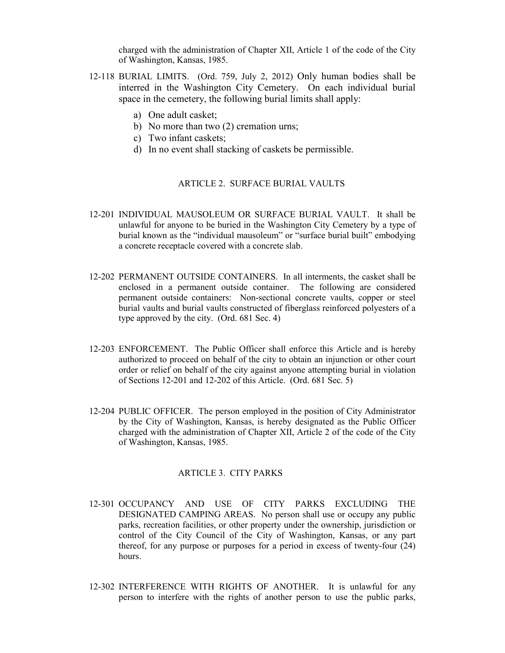charged with the administration of Chapter XII, Article 1 of the code of the City of Washington, Kansas, 1985.

- 12-118 BURIAL LIMITS. (Ord. 759, July 2, 2012) Only human bodies shall be interred in the Washington City Cemetery. On each individual burial space in the cemetery, the following burial limits shall apply:
	- a) One adult casket;
	- b) No more than two (2) cremation urns;
	- c) Two infant caskets;
	- d) In no event shall stacking of caskets be permissible.

## ARTICLE 2. SURFACE BURIAL VAULTS

- 12-201 INDIVIDUAL MAUSOLEUM OR SURFACE BURIAL VAULT. It shall be unlawful for anyone to be buried in the Washington City Cemetery by a type of burial known as the "individual mausoleum" or "surface burial built" embodying a concrete receptacle covered with a concrete slab.
- 12-202 PERMANENT OUTSIDE CONTAINERS. In all interments, the casket shall be enclosed in a permanent outside container. The following are considered permanent outside containers: Non-sectional concrete vaults, copper or steel burial vaults and burial vaults constructed of fiberglass reinforced polyesters of a type approved by the city. (Ord. 681 Sec. 4)
- 12-203 ENFORCEMENT. The Public Officer shall enforce this Article and is hereby authorized to proceed on behalf of the city to obtain an injunction or other court order or relief on behalf of the city against anyone attempting burial in violation of Sections 12-201 and 12-202 of this Article. (Ord. 681 Sec. 5)
- 12-204 PUBLIC OFFICER. The person employed in the position of City Administrator by the City of Washington, Kansas, is hereby designated as the Public Officer charged with the administration of Chapter XII, Article 2 of the code of the City of Washington, Kansas, 1985.

# ARTICLE 3. CITY PARKS

- 12-301 OCCUPANCY AND USE OF CITY PARKS EXCLUDING THE DESIGNATED CAMPING AREAS. No person shall use or occupy any public parks, recreation facilities, or other property under the ownership, jurisdiction or control of the City Council of the City of Washington, Kansas, or any part thereof, for any purpose or purposes for a period in excess of twenty-four (24) hours.
- 12-302 INTERFERENCE WITH RIGHTS OF ANOTHER. It is unlawful for any person to interfere with the rights of another person to use the public parks,